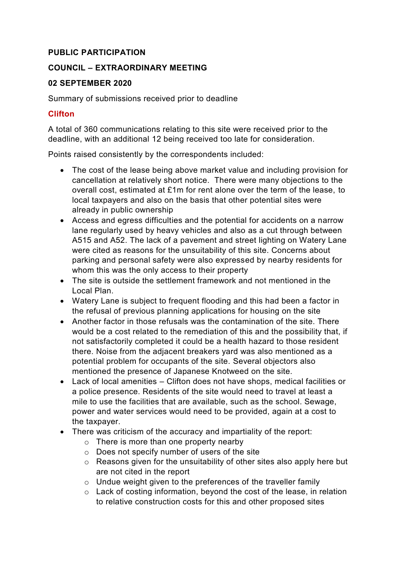### **PUBLIC PARTICIPATION**

### **COUNCIL – EXTRAORDINARY MEETING**

#### **02 SEPTEMBER 2020**

Summary of submissions received prior to deadline

#### **Clifton**

A total of 360 communications relating to this site were received prior to the deadline, with an additional 12 being received too late for consideration.

Points raised consistently by the correspondents included:

- The cost of the lease being above market value and including provision for cancellation at relatively short notice. There were many objections to the overall cost, estimated at £1m for rent alone over the term of the lease, to local taxpayers and also on the basis that other potential sites were already in public ownership
- Access and egress difficulties and the potential for accidents on a narrow lane regularly used by heavy vehicles and also as a cut through between A515 and A52. The lack of a pavement and street lighting on Watery Lane were cited as reasons for the unsuitability of this site. Concerns about parking and personal safety were also expressed by nearby residents for whom this was the only access to their property
- The site is outside the settlement framework and not mentioned in the Local Plan.
- Watery Lane is subject to frequent flooding and this had been a factor in the refusal of previous planning applications for housing on the site
- Another factor in those refusals was the contamination of the site. There would be a cost related to the remediation of this and the possibility that, if not satisfactorily completed it could be a health hazard to those resident there. Noise from the adjacent breakers yard was also mentioned as a potential problem for occupants of the site. Several objectors also mentioned the presence of Japanese Knotweed on the site.
- Lack of local amenities Clifton does not have shops, medical facilities or a police presence. Residents of the site would need to travel at least a mile to use the facilities that are available, such as the school. Sewage, power and water services would need to be provided, again at a cost to the taxpayer.
- There was criticism of the accuracy and impartiality of the report:
	- o There is more than one property nearby
	- o Does not specify number of users of the site
	- o Reasons given for the unsuitability of other sites also apply here but are not cited in the report
	- o Undue weight given to the preferences of the traveller family
	- o Lack of costing information, beyond the cost of the lease, in relation to relative construction costs for this and other proposed sites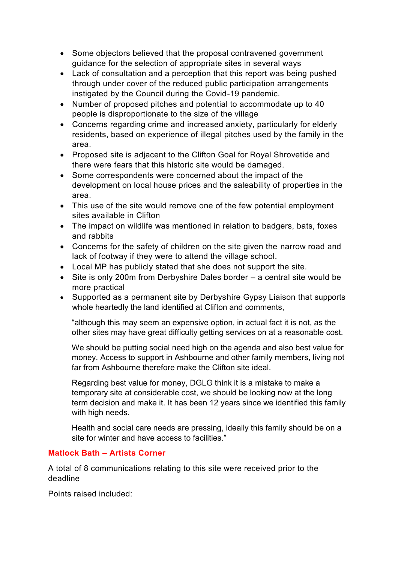- Some objectors believed that the proposal contravened government guidance for the selection of appropriate sites in several ways
- Lack of consultation and a perception that this report was being pushed through under cover of the reduced public participation arrangements instigated by the Council during the Covid-19 pandemic.
- Number of proposed pitches and potential to accommodate up to 40 people is disproportionate to the size of the village
- Concerns regarding crime and increased anxiety, particularly for elderly residents, based on experience of illegal pitches used by the family in the area.
- Proposed site is adjacent to the Clifton Goal for Royal Shrovetide and there were fears that this historic site would be damaged.
- Some correspondents were concerned about the impact of the development on local house prices and the saleability of properties in the area.
- This use of the site would remove one of the few potential employment sites available in Clifton
- The impact on wildlife was mentioned in relation to badgers, bats, foxes and rabbits
- Concerns for the safety of children on the site given the narrow road and lack of footway if they were to attend the village school.
- Local MP has publicly stated that she does not support the site.
- Site is only 200m from Derbyshire Dales border a central site would be more practical
- Supported as a permanent site by Derbyshire Gypsy Liaison that supports whole heartedly the land identified at Clifton and comments,

"although this may seem an expensive option, in actual fact it is not, as the other sites may have great difficulty getting services on at a reasonable cost.

We should be putting social need high on the agenda and also best value for money. Access to support in Ashbourne and other family members, living not far from Ashbourne therefore make the Clifton site ideal.

Regarding best value for money, DGLG think it is a mistake to make a temporary site at considerable cost, we should be looking now at the long term decision and make it. It has been 12 years since we identified this family with high needs.

Health and social care needs are pressing, ideally this family should be on a site for winter and have access to facilities."

# **Matlock Bath – Artists Corner**

A total of 8 communications relating to this site were received prior to the deadline

Points raised included: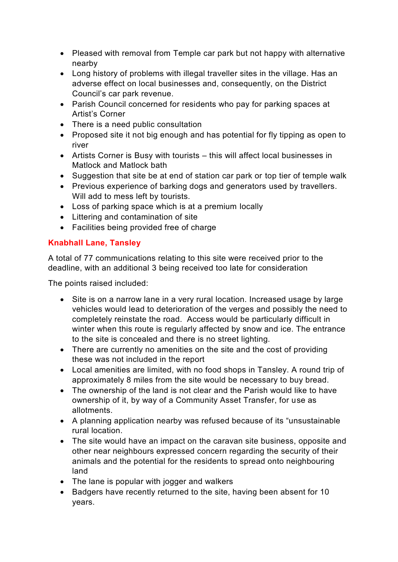- Pleased with removal from Temple car park but not happy with alternative nearby
- Long history of problems with illegal traveller sites in the village. Has an adverse effect on local businesses and, consequently, on the District Council's car park revenue.
- Parish Council concerned for residents who pay for parking spaces at Artist's Corner
- There is a need public consultation
- Proposed site it not big enough and has potential for fly tipping as open to river
- Artists Corner is Busy with tourists this will affect local businesses in Matlock and Matlock bath
- Suggestion that site be at end of station car park or top tier of temple walk
- Previous experience of barking dogs and generators used by travellers. Will add to mess left by tourists.
- Loss of parking space which is at a premium locally
- Littering and contamination of site
- Facilities being provided free of charge

# **Knabhall Lane, Tansley**

A total of 77 communications relating to this site were received prior to the deadline, with an additional 3 being received too late for consideration

The points raised included:

- Site is on a narrow lane in a very rural location. Increased usage by large vehicles would lead to deterioration of the verges and possibly the need to completely reinstate the road. Access would be particularly difficult in winter when this route is regularly affected by snow and ice. The entrance to the site is concealed and there is no street lighting.
- There are currently no amenities on the site and the cost of providing these was not included in the report
- Local amenities are limited, with no food shops in Tansley. A round trip of approximately 8 miles from the site would be necessary to buy bread.
- The ownership of the land is not clear and the Parish would like to have ownership of it, by way of a Community Asset Transfer, for use as allotments.
- A planning application nearby was refused because of its "unsustainable rural location.
- The site would have an impact on the caravan site business, opposite and other near neighbours expressed concern regarding the security of their animals and the potential for the residents to spread onto neighbouring land
- The lane is popular with jogger and walkers
- Badgers have recently returned to the site, having been absent for 10 years.